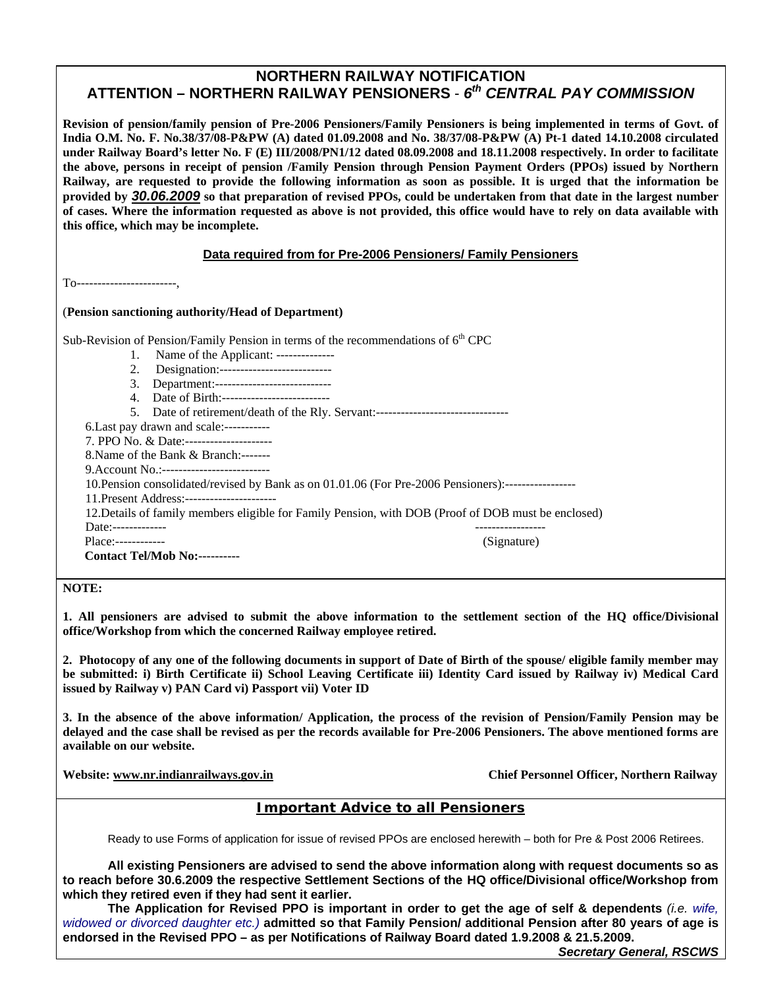# **NORTHERN RAILWAY NOTIFICATION ATTENTION – NORTHERN RAILWAY PENSIONERS** - *6th CENTRAL PAY COMMISSION*

**Revision of pension/family pension of Pre-2006 Pensioners/Family Pensioners is being implemented in terms of Govt. of India O.M. No. F. No.38/37/08-P&PW (A) dated 01.09.2008 and No. 38/37/08-P&PW (A) Pt-1 dated 14.10.2008 circulated under Railway Board's letter No. F (E) III/2008/PN1/12 dated 08.09.2008 and 18.11.2008 respectively. In order to facilitate the above, persons in receipt of pension /Family Pension through Pension Payment Orders (PPOs) issued by Northern Railway, are requested to provide the following information as soon as possible. It is urged that the information be provided by** *30.06.2009* **so that preparation of revised PPOs, could be undertaken from that date in the largest number of cases. Where the information requested as above is not provided, this office would have to rely on data available with this office, which may be incomplete.** 

### **Data required from for Pre-2006 Pensioners/ Family Pensioners**

To------------------------,

### (**Pension sanctioning authority/Head of Department)**

Sub-Revision of Pension/Family Pension in terms of the recommendations of  $6<sup>th</sup>$  CPC

- 1. Name of the Applicant: --------------
- 2. Designation:---------------------------
- 3. Department:----------------------------
- 4. Date of Birth:--------------------------
- 5. Date of retirement/death of the Rly. Servant:--------------------------------
- 6.Last pay drawn and scale:-----------

7. PPO No. & Date:---------------------

8.Name of the Bank & Branch:-------

9.Account No.:--------------------------

10.Pension consolidated/revised by Bank as on 01.01.06 (For Pre-2006 Pensioners):-----------------

11.Present Address:----------------------

12.Details of family members eligible for Family Pension, with DOB (Proof of DOB must be enclosed)

Date:------------- -----------------

Place:------------ (Signature)

 **Contact Tel/Mob No:----------** 

**NOTE:** 

**1. All pensioners are advised to submit the above information to the settlement section of the HQ office/Divisional office/Workshop from which the concerned Railway employee retired.** 

**2. Photocopy of any one of the following documents in support of Date of Birth of the spouse/ eligible family member may be submitted: i) Birth Certificate ii) School Leaving Certificate iii) Identity Card issued by Railway iv) Medical Card issued by Railway v) PAN Card vi) Passport vii) Voter ID** 

**3. In the absence of the above information/ Application, the process of the revision of Pension/Family Pension may be delayed and the case shall be revised as per the records available for Pre-2006 Pensioners. The above mentioned forms are available on our website.** 

Website: www.nr.indianrailways.gov.in **Chief Personnel Officer, Northern Railway** 

## **Important Advice to all Pensioners**

Ready to use Forms of application for issue of revised PPOs are enclosed herewith – both for Pre & Post 2006 Retirees.

**All existing Pensioners are advised to send the above information along with request documents so as to reach before 30.6.2009 the respective Settlement Sections of the HQ office/Divisional office/Workshop from which they retired even if they had sent it earlier.** 

**The Application for Revised PPO is important in order to get the age of self & dependents** *(i.e. wife, widowed or divorced daughter etc.)* **admitted so that Family Pension/ additional Pension after 80 years of age is endorsed in the Revised PPO – as per Notifications of Railway Board dated 1.9.2008 & 21.5.2009.** 

*Secretary General, RSCWS*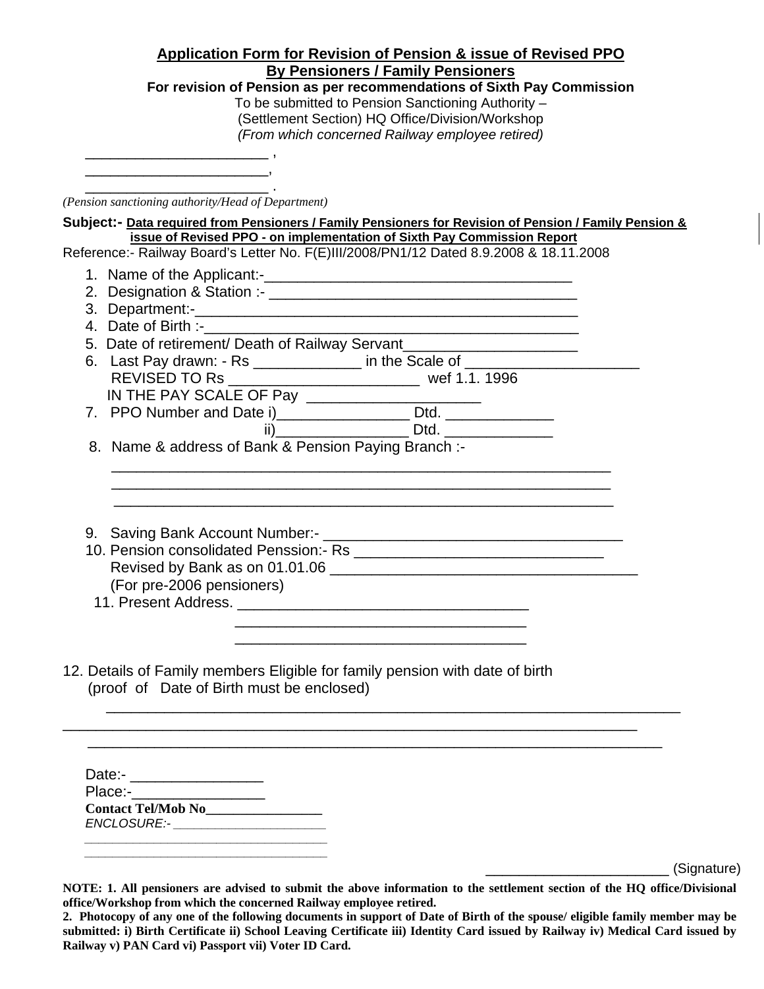| <b>Application Form for Revision of Pension &amp; issue of Revised PPO</b><br><b>By Pensioners / Family Pensioners</b><br>For revision of Pension as per recommendations of Sixth Pay Commission<br>To be submitted to Pension Sanctioning Authority -<br>(Settlement Section) HQ Office/Division/Workshop<br>(From which concerned Railway employee retired)                     |             |
|-----------------------------------------------------------------------------------------------------------------------------------------------------------------------------------------------------------------------------------------------------------------------------------------------------------------------------------------------------------------------------------|-------------|
| <u> 2000 - Jan James James Jan James James James James James James James James James James James James James Jam</u>                                                                                                                                                                                                                                                              |             |
| (Pension sanctioning authority/Head of Department)                                                                                                                                                                                                                                                                                                                                |             |
| Subject:- Data required from Pensioners / Family Pensioners for Revision of Pension / Family Pension &<br>issue of Revised PPO - on implementation of Sixth Pay Commission Report<br>Reference:- Railway Board's Letter No. F(E)III/2008/PN1/12 Dated 8.9.2008 & 18.11.2008                                                                                                       |             |
| 4. Date of Birth :-<br>5. Date of retirement/ Death of Railway Servant_________________________________<br>6. Last Pay drawn: - Rs ______________ in the Scale of _________________________<br>REVISED TO Rs __________________________________ wef 1.1. 1996<br>ii)___________________________ Dtd. ____________________<br>8. Name & address of Bank & Pension Paying Branch :- |             |
| Revised by Bank as on 01.01.06<br>(For pre-2006 pensioners)                                                                                                                                                                                                                                                                                                                       |             |
| 12. Details of Family members Eligible for family pension with date of birth<br>(proof of Date of Birth must be enclosed)                                                                                                                                                                                                                                                         |             |
| Place:-___________________<br>Contact Tel/Mob No<br><u>Letting</u><br>ENCLOSURE:-________________________                                                                                                                                                                                                                                                                         |             |
| <u> 1989 - Johann Barbara, margaret eta idazlea (h. 1989).</u>                                                                                                                                                                                                                                                                                                                    | (Signature) |

**office/Workshop from which the concerned Railway employee retired.** 

**<sup>2.</sup> Photocopy of any one of the following documents in support of Date of Birth of the spouse/ eligible family member may be submitted: i) Birth Certificate ii) School Leaving Certificate iii) Identity Card issued by Railway iv) Medical Card issued by Railway v) PAN Card vi) Passport vii) Voter ID Card.**